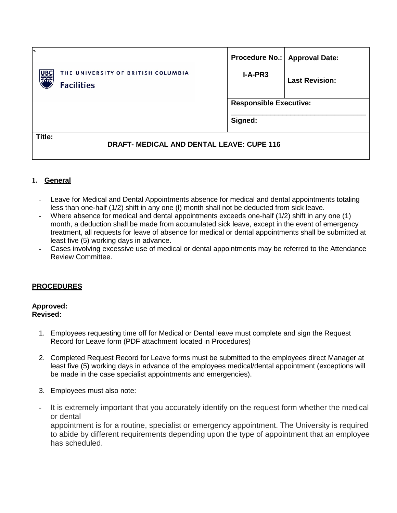|        |                                                         |           | Procedure No.:   Approval Date: |  |
|--------|---------------------------------------------------------|-----------|---------------------------------|--|
| UΒ     | THE UNIVERSITY OF BRITISH COLUMBIA<br><b>Facilities</b> | $I-A-PR3$ | <b>Last Revision:</b>           |  |
|        |                                                         |           | <b>Responsible Executive:</b>   |  |
|        |                                                         | Signed:   |                                 |  |
| Title: | <b>DRAFT- MEDICAL AND DENTAL LEAVE: CUPE 116</b>        |           |                                 |  |

## **1. General**

- Leave for Medical and Dental Appointments absence for medical and dental appointments totaling less than one-half (1/2) shift in any one (l) month shall not be deducted from sick leave.
- Where absence for medical and dental appointments exceeds one-half (1/2) shift in any one (1) month, a deduction shall be made from accumulated sick leave, except in the event of emergency treatment, all requests for leave of absence for medical or dental appointments shall be submitted at least five (5) working days in advance.
- Cases involving excessive use of medical or dental appointments may be referred to the Attendance Review Committee.

## **PROCEDURES**

## **Approved: Revised:**

- 1. Employees requesting time off for Medical or Dental leave must complete and sign the Request Record for Leave form (PDF attachment located in Procedures)
- 2. Completed Request Record for Leave forms must be submitted to the employees direct Manager at least five (5) working days in advance of the employees medical/dental appointment (exceptions will be made in the case specialist appointments and emergencies).
- 3. Employees must also note:
- It is extremely important that you accurately identify on the request form whether the medical or dental appointment is for a routine, specialist or emergency appointment. The University is required to abide by different requirements depending upon the type of appointment that an employee has scheduled.